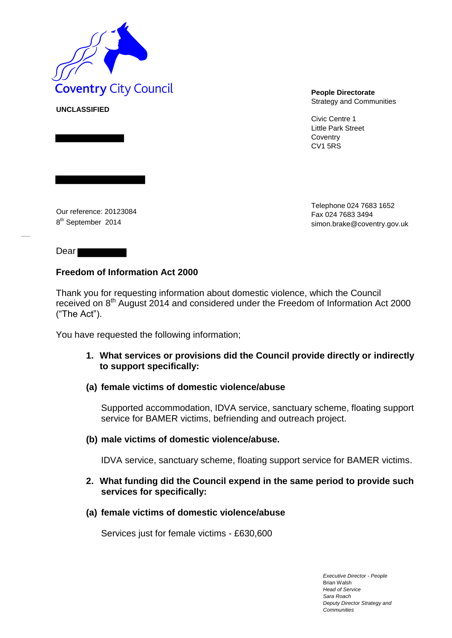

**UNCLASSIFIED**

Strategy and Communities

Civic Centre 1 Little Park Street **Coventry** CV1 5RS

Our reference: 20123084 8<sup>th</sup> September 2014

Telephone 024 7683 1652 Fax 024 7683 349[4](mailto:simon.brake@coventry.gov.uk) [simon.brake@coventry.gov.uk](mailto:simon.brake@coventry.gov.uk)

Dear **Dear** 

## **Freedom of Information Act 2000**

Thank you for requesting information about domestic violence, which the Council received on 8th August 2014 and considered under the Freedom of Information Act 2000 ("The Act").

You have requested the following information;

**1. What services or provisions did the Council provide directly or indirectly to support specifically:** 

### **(a) female victims of domestic violence/abuse**

Supported accommodation, IDVA service, sanctuary scheme, floating support service for BAMER victims, befriending and outreach project.

### **(b) male victims of domestic violence/abuse.**

IDVA service, sanctuary scheme, floating support service for BAMER victims.

### **2. What funding did the Council expend in the same period to provide such services for specifically:**

**(a) female victims of domestic violence/abuse** 

Services just for female victims - £630,600

*Executive Director - People* Brian Walsh *Head of Service Sara Roach Deputy Director Strategy and Communities*